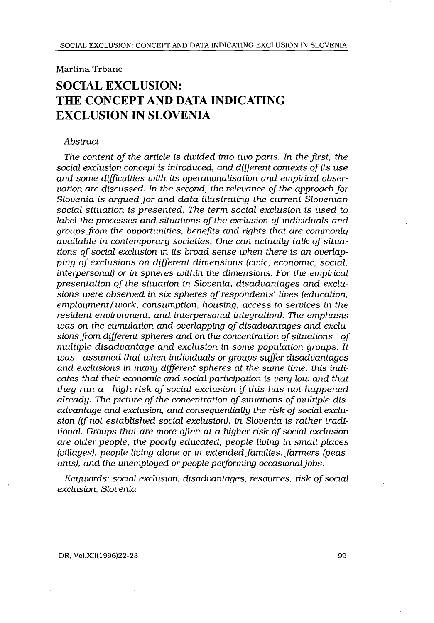## Martina Trbanc

# SOCIAL EXCLUSION: THE CONCEPT AND DATA INDICATING EXCLUSION IN SLOVENIA

#### Abstract

The content of the article is divided into two parts . In the first, the social exclusion concept is introduced, and different contexts of its use and some difficulties with its operationalisation and empirical observation are discussed. In the second, the relevance of the approach for Slovenia is argued for and data illustrating the current Slovenian social situation is presented. The term social exclusion is used to label the processes and situations of the exclusion of individuals and groups from the opportunities, benefits and rights that are commonly available in contemporary societies. One can actually talk of situations of social exclusion in its broad sense when there is an overlapping of exclusions on different dimensions (civic, economic, social, interpersonal) or in spheres within the dimensions . For the empirical presentation of the situation in Slovenia, disadvantages and exclusions were observed in six spheres of respondents' lives (education, employment/work, consumption, housing, access to services in the resident environment, and interpersonal integration). The emphasis was on the cumulation and overlapping of disadvantages and exclusions from different spheres and on the concentration of situations of multiple disadvantage and exclusion in some population groups. It was assumed that when individuals or groups suffer disadvantages and exclusions in many different spheres at the same time, this indicates that their economic and social participation is very low and that they run a high risk of social exclusion if this has not happened already. The picture of the concentration of situations of multiple disadvantage and exclusion, and consequentially the risk of social exclusion (if not established social exclusion), in Slovenia is rather traditional. Groups that are more often at a higher risk of social exclusion are older people, the poorly educated, people living in small places (villages), people living alone or in extended families, farmers (peasants), and the unemployed or people performing occasional jobs .

Keywords: social exclusion, disadvantages, resources, risk of social exclusion, Slovenia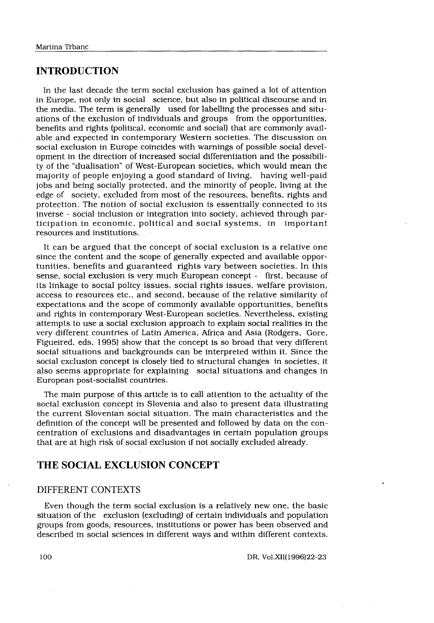## INTRODUCTION

Martina Trbanc<br>
INTRODUCTION<br>
In the last decade the term social<br>
in Europe not only in social scient In the last decade the term social exclusion has gained a lot of attention in Europe, not only in social science, but also in political discourse and in the media. The term is generally used for labelling the processes and situations of the exclusion of individuals and groups from the opportunities, benefits and rights (political, economic and social) that are commonly available and expected in contemporary Western societies. The discussion on social exclusion in Europe coincides with warnings of possible social development in the direction of increased social differentiation and the possibility of the "dualisation" of West-European societies, which would mean the majority of people enjoying a good standard of living, having well-paid jobs and being socially protected, and the minority of people, living at the edge of society, excluded from most of the resources, benefits, rights and protection . The notion of social exclusion is essentially connected to its inverse - social inclusion or integration into society, achieved through participation in economic, political and social systems, in important resources and institutions.

It can be argued that the concept of social exclusion is a relative one since the content and the scope of generally expected and available opportunities, benefits and guaranteed rights vary between societies . In this sense, social exclusion is very much European concept - first, because of its linkage to social policy issues, social rights issues, welfare provision, access to resources etc., and second, because of the relative similarity of expectations and the scope of commonly available opportunities, benefits and rights in contemporary West-European societies. Nevertheless, existing attempts to use a social exclusion approach to explain social realities in the very different countries of Latin America, Africa and Asia (Rodgers, Gore, Figueired, eds, 1995) show that the concept is so broad that very different social situations and backgrounds can be interpreted within it . Since the social exclusion concept is closely tied to structural changes in societies, it also seems appropriate for explaining social situations and changes in European post-socialist countries .

The main purpose of this article is to call attention to the actuality of the social exclusion concept in Slovenia and also to present data illustrating the current Slovenian social situation . The main characteristics and the definition of the concept will be presented and followed by data on the concentration of exclusions and disadvantages in certain population groups that are at high risk of social exclusion if not socially excluded already .

## THE SOCIAL EXCLUSION CONCEPT

### DIFFERENT CONTEXTS

Even though the term social exclusion is a relatively new one, the basic situation of the exclusion (excluding) of certain individuals and population groups from goods, resources, institutions or power has been observed and described in social sciences in different ways and within different contexts .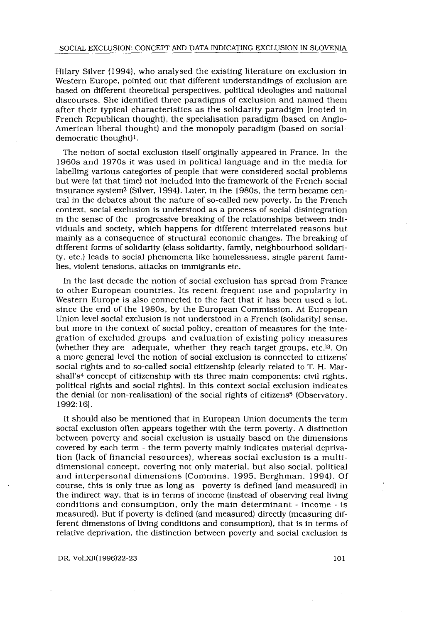Hilary Silver (1994), who analysed the existing literature on exclusion in Western Europe, pointed out that different understandings of exclusion are based on different theoretical perspectives, political ideologies and national discourses . She identified three paradigms of exclusion and named them after their typical characteristics as the solidarity paradigm (rooted in French Republican thought), the specialisation paradigm (based on Anglo-American liberal thought) and the monopoly paradigm (based on socialdemocratic thought)<sup>1</sup>.

The notion of social exclusion itself originally appeared in France. In the 1960s and 1970s it was used in political language and in the media for labelling various categories of people that were considered social problems but were (at that time) not included into the framework of the French social insurance system2 (Silver, 1994) . Later, in the 1980s, the term became central in the debates about the nature of so-called new poverty . In the French context, social exclusion is understood as a process of social disintegration in the sense of the progressive breaking of the relationships between individuals and society, which happens for different interrelated reasons but mainly as a consequence of structural economic changes . The breaking of different forms of solidarity (class solidarity, family, neighbourhood solidarity, etc .) leads to social phenomena like homelessness, single parent families, violent tensions, attacks on immigrants etc.

In the last decade the notion of social exclusion has spread from France to other European countries . Its recent frequent use and popularity in Western Europe is also connected to the fact that it has been used a lot, since the end of the 1980s, by the European Commission . At European Union level social exclusion is not understood in a French (solidarity) sense, but more in the context of social policy, creation of measures for the integration of excluded groups and evaluation of existing policy measures (whether they are adequate, whether they reach target groups, etc.)<sup>3</sup>. On a more general level the notion of social exclusion is connected to citizens' social rights and to so-called social citizenship (clearly related to T. H. Marshall's<sup>4</sup> concept of citizenship with its three main components: civil rights, political rights and social rights) . In this context social exclusion indicates the denial (or non-realisation) of the social rights of citizens5 (Observatory, 1992:16) .

It should also be mentioned that in European Union documents the term social exclusion often appears together with the term poverty . A distinction between poverty and social exclusion is usually based on the dimensions covered by each term - the term poverty mainly indicates material deprivation (lack of financial resources), whereas social exclusion is a multidimensional concept, covering not only material, but also social, political and interpersonal dimensions (Commins, 1995, Berghman, 1994) . Of course, this is only true as long as poverty is defined (and measured) in the indirect way, that is in terms of income (instead of observing real living conditions and consumption, only the main determinant - income - is measured) . But if poverty is defined (and measured) directly (measuring different dimensions of living conditions and consumption), that is in terms of relative deprivation, the distinction between poverty and social exclusion is

DR, Vol .XII(1996)22-23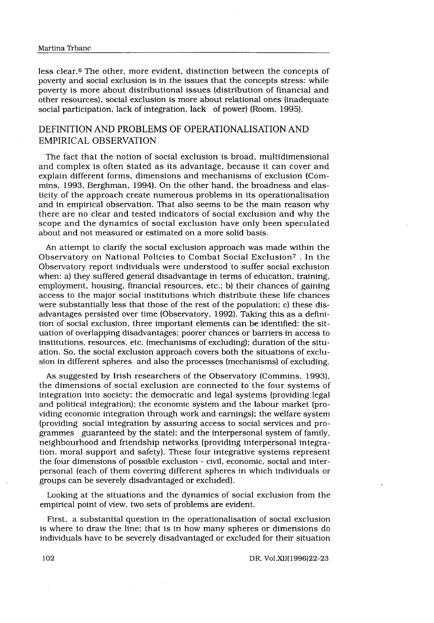less clear .6 The other, more evident, distinction between the concepts of poverty and social exclusion is in the issues that the concepts stress: while poverty is more about distributional issues (distribution of financial and other resources), social exclusion is more about relational ones (inadequate social participation, lack of integration, lack of power) (Room, 1995).

## DEFINITION AND PROBLEMS OF OPERATIONALISATION AND EMPIRICAL OBSERVATION

The fact that the notion of social exclusion is broad, multidimensional and complex is often stated as its advantage, because it can cover and explain different forms, dimensions and mechanisms of exclusion (Commins, 1993, Berghman, 1994). On the other hand, the broadness and elasticity of the approach create numerous problems in its operationalisation and in empirical observation. That also seems to be the main reason why there are no clear and tested indicators of social exclusion and why the scope and the dynamics of social exclusion have only been speculated about and not measured or estimated on a more solid basis .

An attempt to clarify the social exclusion approach was made within the Observatory on National Policies to Combat Social Exclusion? . In the Observatory report individuals were understood to suffer social exclusion when: a) they suffered general disadvantage in terms of education, training, employment, housing, financial resources, etc.; b) their chances of gaining access to the major social institutions which distribute these life chances were substantially less that those of the rest of the population; c) these disadvantages persisted over time (Observatory, 1992) . Taking this as a definition of social exclusion, three important elements can be identified: the situation of overlapping disadvantages; poorer chances or barriers in access to institutions, resources, etc. (mechanisms of excluding); duration of the situation . So, the social exclusion approach covers both the situations of exclusion in different spheres and also the processes (mechanisms) of excluding .

As suggested by Irish researchers of the Observatory (Commins, 1993), the dimensions of social exclusion are connected to the four systems of integration into society: the democratic and legal systems (providing legal and political integration); the economic system and the labour market (providing economic integration through work and earnings) ; the welfare system (providing social integration by assuring access to social services and programmes guaranteed by the state); and the interpersonal system of family, neighbourhood and friendship networks (providing interpersonal integration, moral support and safety) . These four integrative systems represent the four dimensions of possible exclusion - civil, economic, social and interpersonal (each of them covering different spheres in which individuals or groups can be severely disadvantaged or excluded) .

Looking at the situations and the dynamics of social exclusion from the empirical point of view, two sets of problems are evident.

First, a substantial question in the operationalisation of social exclusion is where to draw the line; that is in how many spheres or dimensions do individuals have to be severely disadvantaged or excluded for their situation

DR, Vol .XII(1996)22-23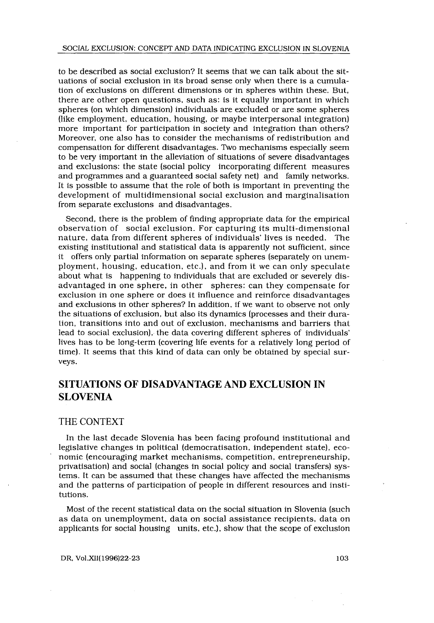to be described as social exclusion? It seems that we can talk about the situations of social exclusion in its broad sense only when there is a cumulation of exclusions on different dimensions or in spheres within these. But, there are other open questions, such as: is it equally important in which spheres (on which dimension) individuals are excluded or are some spheres (like employment, education, housing, or maybe interpersonal integration) more important for participation in society and integration than others? Moreover, one also has to consider the mechanisms of redistribution and compensation for different disadvantages. Two mechanisms especially seem to be very important in the alleviation of situations of severe disadvantages and exclusions: the state (social policy incorporating different measures and programmes and a guaranteed social safety net) and family networks . It is possible to assume that the role of both is important in preventing the development of multidimensional social exclusion and marginalisation from separate exclusions and disadvantages .

Second, there is the problem of finding appropriate data for the empirical observation of social exclusion . For capturing its multi-dimensional nature, data from different spheres of individuals' lives is needed . The existing institutional and statistical data is apparently not sufficient, since it offers only partial information on separate spheres (separately on unemployment, housing, education, etc .), and from it we can only speculate about what is happening to individuals that are excluded or severely disadvantaged in one sphere, in other spheres: can they compensate for exclusion in one sphere or does it influence and reinforce disadvantages and exclusions in other spheres? In addition, if we want to observe not only the situations of exclusion, but also its dynamics (processes and their duration, transitions into and out of exclusion, mechanisms and barriers that lead to social exclusion), the data covering different spheres of individuals' lives has to be long-term (covering life events for a relatively long period of time) . It seems that this kind of data can only be obtained by special surveys.

## SITUATIONS OF DISADVANTAGE AND EXCLUSION IN SLOVENIA

#### THE CONTEXT

In the last decade Slovenia has been facing profound institutional and legislative changes in political (democratisation, independent state), economic (encouraging market mechanisms, competition, entrepreneurship, privatisation) and social (changes in social policy and social transfers) systems. It can be assumed that these changes have affected the mechanisms and the patterns of participation of people in different resources and institutions.

Most of the recent statistical data on the social situation in Slovenia (such as data on unemployment, data on social assistance recipients, data on applicants for social housing units, etc .), show that the scope of exclusion

DR, Vol.XII(1996)22-23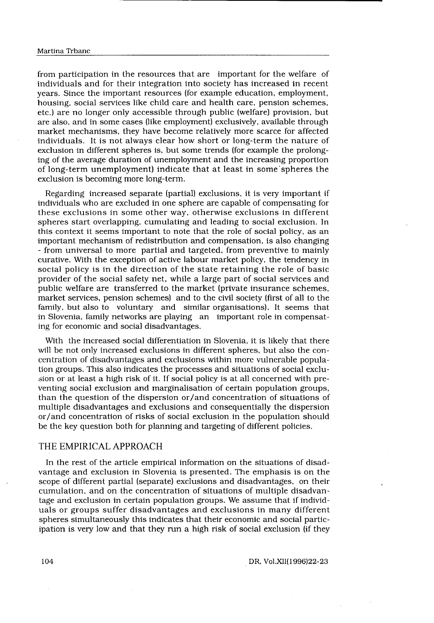from participation in the resources that are important for the welfare of individuals and for their integration into society has increased in recent years. Since the important resources (for example education, employment, housing, social services like child care and health care, pension schemes, etc .) are no longer only accessible through public (welfare) provision, but are also, and in some cases (like employment) exclusively, available through market mechanisms, they have become relatively more scarce for affected individuals . It is not always clear how short or long-term the nature of exclusion in different spheres is, but some trends (for example the prolonging of the average duration of unemployment and the increasing proportion of long-term unemployment) indicate that at least in some' spheres the exclusion is becoming more long-term.

Regarding increased separate (partial) exclusions, it is very important if individuals who are excluded in one sphere are capable of compensating for these exclusions in some other way, otherwise exclusions in different spheres start overlapping, cumulating and leading to social exclusion . In this context it seems important to note that the role of social policy, as an important mechanism of redistribution and compensation, is also changing - from universal to more partial and targeted, from preventive to mainly curative . With the exception of active labour market policy, the tendency in social policy is in the direction of the state retaining the role of basic provider of the social safety net, while a large part of social services and public welfare are transferred to the market (private insurance schemes, market services, pension schemes) and to the civil society (first of all to the family, but also to voluntary and similar organisations) . It seems that in Slovenia, family networks are playing an important role in compensating for economic and social disadvantages.

With the increased social differentiation in Slovenia, it is likely that there will be not only increased exclusions in different spheres, but also the concentration of disadvantages and exclusions within more vulnerable population groups . This also indicates the processes and situations of social exclu sion or at least a high risk of it. If social policy is at all concerned with preventing social exclusion and marginalisation of certain population groups, than the question of the dispersion or/and concentration of situations of multiple disadvantages and exclusions and consequentially the dispersion or/and concentration of risks of social exclusion in the population should be the key question both for planning and targeting of different policies .

### THE EMPIRICAL APPROACH

In the rest of the article empirical information on the situations of disadvantage and exclusion in Slovenia is presented. The emphasis is on the scope of different partial (separate) exclusions and disadvantages, on their cumulation, and on the concentration of situations of multiple disadvantage and exclusion in certain population groups . We assume that if individuals or groups suffer disadvantages and exclusions in many different spheres simultaneously this indicates that their economic and social participation is very low and that they run a high risk of social exclusion (if they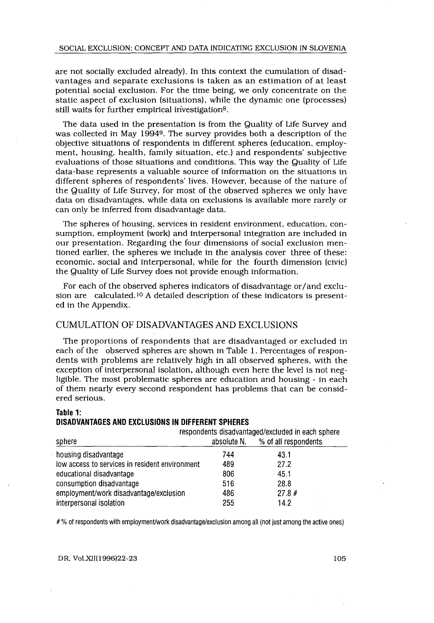are not socially excluded already) . In this context the cumulation of disadvantages and separate exclusions is taken as an estimation of at least potential social exclusion . For the time being, we only concentrate on the static aspect of exclusion (situations), while the dynamic one (processes) still waits for further empirical investigation<sup>8</sup>.

The data used in the presentation is from the Quality of Life Survey and was collected in May 19949 . The survey provides both a description of the objective situations of respondents in different spheres (education, employment, housing, health, family situation, etc.) and respondents' subjective evaluations of those situations and conditions . This way the Quality of Life data-base represents a valuable source of information on the situations in different spheres of respondents' lives . However, because of the nature of the Quality of Life Survey, for most of the observed spheres we only have data on disadvantages, while data on exclusions is available more rarely or can only be inferred from disadvantage data .

The spheres of housing, services in resident environment, education, consumption, employment (work) and interpersonal integration are included in our presentation . Regarding the four dimensions of social exclusion mentioned earlier, the spheres we include in the analysis cover three of these : economic, social and interpersonal, while for the fourth dimension (civic) the Quality of Life Survey does not provide enough information .

For each of the observed spheres indicators of disadvantage or/and exclusion are calculated.<sup>10</sup> A detailed description of these indicators is presented in the Appendix.

### CUMULATION OF DISADVANTAGES AND EXCLUSIONS

The proportions of respondents that are disadvantaged or excluded in each of the observed spheres are shown in Table 1. Percentages of respondents with problems are relatively high in all observed spheres, with the exception of interpersonal isolation, although even here the level is not negligible. The most problematic spheres are education and housing - in each of them nearly every second respondent has problems that can be considered serious.

#### Table 1: DISADVANTAGES AND EXCLUSIONS IN DIFFERENT SPHERES

| exception of interpersonal isolation, although even here the level is not neg-<br>ligible. The most problematic spheres are education and housing - in each<br>of them nearly every second respondent has problems that can be consid-<br>ered serious. |             |                                                                           |  |
|---------------------------------------------------------------------------------------------------------------------------------------------------------------------------------------------------------------------------------------------------------|-------------|---------------------------------------------------------------------------|--|
| Table 1:<br>DISADVANTAGES AND EXCLUSIONS IN DIFFERENT SPHERES<br>sphere                                                                                                                                                                                 | absolute N. | respondents disadvantaged/excluded in each sphere<br>% of all respondents |  |
|                                                                                                                                                                                                                                                         |             |                                                                           |  |
| housing disadvantage                                                                                                                                                                                                                                    | 744         | 43.1                                                                      |  |
| low access to services in resident environment                                                                                                                                                                                                          | 489         | 27.2                                                                      |  |
| educational disadvantage                                                                                                                                                                                                                                | 806         | 45.1                                                                      |  |
| consumption disadvantage                                                                                                                                                                                                                                | 516         | 28.8                                                                      |  |
| employment/work disadvantage/exclusion                                                                                                                                                                                                                  | 486         | 27.8#                                                                     |  |
| interpersonal isolation                                                                                                                                                                                                                                 | 255         | 14.2                                                                      |  |
|                                                                                                                                                                                                                                                         |             |                                                                           |  |

# % of respondents with employment/work disadvantage/exclusion among all (not just among the active ones)

DR, Vol.XII(1996)22-23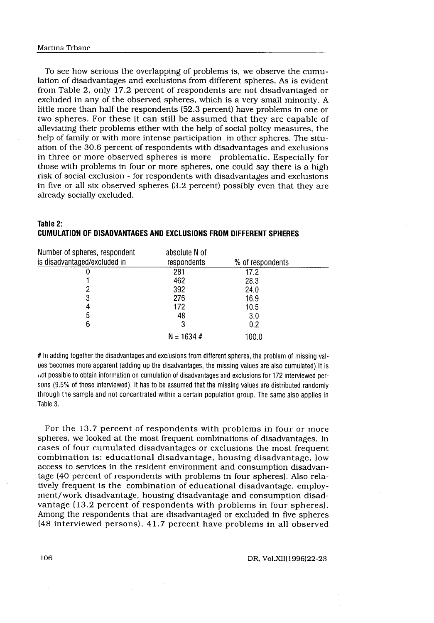To see how serious the overlapping of problems is, we observe the cumulation of disadvantages and exclusions from different spheres . As is evident from Table 2, only 17 .2 percent of respondents are not disadvantaged or excluded in any of the observed spheres, which is a very small minority . A little more than half the respondents (52 .3 percent) have problems in one or two spheres . For these it can still be assumed that they are capable of alleviating their problems either with the help of social policy measures, the help of family or with more intense participation in other spheres. The situation of the 30 .6 percent of respondents with disadvantages and exclusions in three or more observed spheres is more problematic . Especially for those with problems in four or more spheres, one could say there is a high risk of social exclusion - for respondents with disadvantages and exclusions in five or all six observed spheres (3 .2 percent) possibly even that they are already socially excluded.

| Table 2: |                                                                   |  |  |
|----------|-------------------------------------------------------------------|--|--|
|          | CUMULATION OF DISADVANTAGES AND EXCLUSIONS FROM DIFFERENT SPHERES |  |  |

| Table 2:<br>CUMULATION OF DISADVANTAGES AND EXCLUSIONS FROM DIFFERENT SPHERES |                              |                  |
|-------------------------------------------------------------------------------|------------------------------|------------------|
| Number of spheres, respondent<br>is disadvantaged/excluded in                 | absolute N of<br>respondents | % of respondents |
| U                                                                             | 281                          | 17.2             |
|                                                                               | 462                          | 28.3             |
|                                                                               | 392                          | 24.0             |
| 3                                                                             | 276                          | 16.9             |
| 4                                                                             | 172                          | 10.5             |
| 5                                                                             | 48                           | 3.0              |
| 6                                                                             | 3                            | 0.2              |
|                                                                               | $N = 1634 \#$                | 100.0            |

# In adding together the disadvantages and exclusions from different spheres, the problem of missing values becomes more apparent (adding up the disadvantages, the missing values are also cumulated) .It is not possible to obtain information on cumulation of disadvantages and exclusions for 172 interviewed persons (9.5% of those interviewed) . It has to be assumed that the missing values are distributed randomly through the sample and not concentrated within a certain population group . The same also applies in Table 3.

For the 13.7 percent of respondents with problems in four or more spheres, we looked at the most frequent combinations of disadvantages . In cases of four cumulated disadvantages or exclusions the most frequent combination is: educational disadvantage, housing disadvantage, low access to services in the resident environment and consumption disadvantage (40 percent of respondents with problems in four spheres) . Also relatively frequent is the combination of educational disadvantage, employment/work disadvantage, housing disadvantage and consumption disadvantage (13 .2 percent of respondents with problems in four spheres) . Among the respondents that are disadvantaged or excluded in five spheres (48 interviewed persons), 41 .7 percent have problems in all observed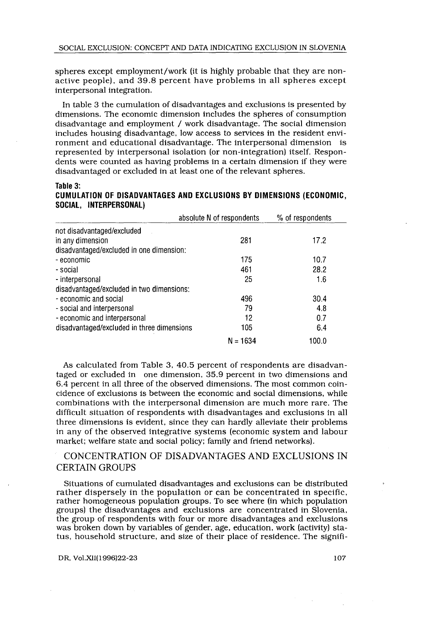spheres except employment/work (it is highly probable that they are nonactive people), and 39 .8 percent have problems in all spheres except interpersonal integration.

In table 3 the cumulation of disadvantages and exclusions is presented by dimensions. The economic dimension includes the spheres of consumption disadvantage and employment / work disadvantage. The social dimension includes housing disadvantage, low access to services in the resident environment and educational disadvantage. The interpersonal dimension is represented by interpersonal isolation (or non-integration) itself . Respondents were counted as having problems in a certain dimension if they were disadvantaged or excluded in at least one of the relevant spheres.

#### ranie 3.

#### CUMULATION OF DISADVANTAGES AND EXCLUSIONS BY DIMENSIONS (ECONOMIC, SOCIAL, INTERPERSONAL)

| represented by interpersonal isolation (or non-integration) itself. Respon-<br>dents were counted as having problems in a certain dimension if they were<br>disadvantaged or excluded in at least one of the relevant spheres. |                           |                  |  |
|--------------------------------------------------------------------------------------------------------------------------------------------------------------------------------------------------------------------------------|---------------------------|------------------|--|
| Table 3:<br>CUMULATION OF DISADVANTAGES AND EXCLUSIONS BY DIMENSIONS (ECONOMIC,<br>SOCIAL, INTERPERSONAL)                                                                                                                      |                           |                  |  |
|                                                                                                                                                                                                                                | absolute N of respondents | % of respondents |  |
| not disadvantaged/excluded                                                                                                                                                                                                     |                           |                  |  |
| in any dimension                                                                                                                                                                                                               | 281                       | 17.2             |  |
| disadvantaged/excluded in one dimension:                                                                                                                                                                                       |                           |                  |  |
| - economic                                                                                                                                                                                                                     | 175                       | 10.7             |  |
| - social                                                                                                                                                                                                                       | 461                       | 28.2             |  |
| - interpersonal                                                                                                                                                                                                                | 25                        | 1.6              |  |
| disadvantaged/excluded in two dimensions:                                                                                                                                                                                      |                           |                  |  |
| - economic and social                                                                                                                                                                                                          | 496                       | 30.4             |  |
| - social and interpersonal                                                                                                                                                                                                     | 79                        | 4.8              |  |
| - economic and interpersonal                                                                                                                                                                                                   | 12                        | 0.7              |  |
| disadvantaged/excluded in three dimensions                                                                                                                                                                                     | 105                       | 6.4              |  |
|                                                                                                                                                                                                                                | $N = 1634$                | 100.0            |  |

As calculated from Table 3, 40.5 percent of respondents are disadvantaged or excluded in one dimension, 35 .9 percent in two dimensions and 6 .4 percent in all three of the observed dimensions . The most common coincidence of exclusions is between the economic and social dimensions, while combinations with the interpersonal dimension are much more rare . The difficult situation of respondents with disadvantages and exclusions in all three dimensions is evident, since they can hardly alleviate their problems in any of the observed integrative systems (economic system and labour market; welfare state and social policy; family and friend networks).

## CONCENTRATION OF DISADVANTAGES AND EXCLUSIONS IN CERTAIN GROUPS

Situations of cumulated disadvantages and exclusions can be distributed rather dispersely in the population or can be concentrated in specific, rather homogeneous population groups . To see where (in which population groups) the disadvantages and exclusions are concentrated in Slovenia, the group of respondents with four or more disadvantages and exclusions was broken down by variables of gender, age, education, work (activity) status, household structure, and size of their place of residence. The signifi-

DR, Vol.XII(1996)22-23

I07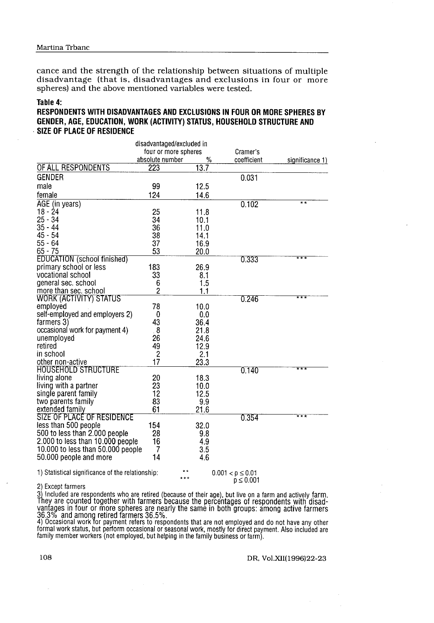#### Table 4:

## RESPONDENTS WITH DISADVANTAGES AND EXCLUSIONS IN FOUR OR MORE SPHERES BY GENDER, AGE, EDUCATION, WORK (ACTIVITY) STATUS, HOUSEHOLD STRUCTURE AND SIZE OF PLACE OF RESIDENCE

| Martina Trbanc<br>cance and the strength of the relationship between situations of multiple<br>disadvantage (that is, disadvantages and exclusions in four or more<br>spheres) and the above mentioned variables were tested.<br>Table 4: |                           |              |             |                 |
|-------------------------------------------------------------------------------------------------------------------------------------------------------------------------------------------------------------------------------------------|---------------------------|--------------|-------------|-----------------|
|                                                                                                                                                                                                                                           |                           |              |             |                 |
|                                                                                                                                                                                                                                           |                           |              |             |                 |
|                                                                                                                                                                                                                                           |                           |              |             |                 |
|                                                                                                                                                                                                                                           |                           |              |             |                 |
|                                                                                                                                                                                                                                           |                           |              |             |                 |
|                                                                                                                                                                                                                                           |                           |              |             |                 |
|                                                                                                                                                                                                                                           |                           |              |             |                 |
|                                                                                                                                                                                                                                           |                           |              |             |                 |
|                                                                                                                                                                                                                                           |                           |              |             |                 |
|                                                                                                                                                                                                                                           |                           |              |             |                 |
| RESPONDENTS WITH DISADVANTAGES AND EXCLUSIONS IN FOUR OR MORE SPHERES BY                                                                                                                                                                  |                           |              |             |                 |
| GENDER, AGE, EDUCATION, WORK (ACTIVITY) STATUS, HOUSEHOLD STRUCTURE AND                                                                                                                                                                   |                           |              |             |                 |
| <b>SIZE OF PLACE OF RESIDENCE</b>                                                                                                                                                                                                         |                           |              |             |                 |
|                                                                                                                                                                                                                                           | disadvantaged/excluded in |              |             |                 |
|                                                                                                                                                                                                                                           | four or more spheres      |              | Cramer's    |                 |
| OF ALL RESPONDENTS                                                                                                                                                                                                                        | absolute number<br>223    | %<br>13.7    | coefficient | significance 1) |
| <b>GENDER</b>                                                                                                                                                                                                                             |                           |              | 0.031       |                 |
| male                                                                                                                                                                                                                                      | 99                        | 12.5         |             |                 |
| female                                                                                                                                                                                                                                    | 124                       | 14.6         |             |                 |
| AGE (in years)                                                                                                                                                                                                                            |                           |              | 0.102       | $* *$           |
| 18 - 24                                                                                                                                                                                                                                   | 25                        | 11.8         |             |                 |
| $25 - 34$<br>$35 - 44$                                                                                                                                                                                                                    | 34<br>36                  | 10.1<br>11.0 |             |                 |
| $45 - 54$                                                                                                                                                                                                                                 | 38                        | 14.1         |             |                 |
| $55 - 64$                                                                                                                                                                                                                                 | 37                        | 16.9         |             |                 |
| $65 - 75$<br><b>EDUCATION</b> (school finished)                                                                                                                                                                                           | 53                        | 20.0         | 0.333       | * * *           |
| primary school or less                                                                                                                                                                                                                    | 183                       | 26.9         |             |                 |
| vocational school                                                                                                                                                                                                                         | 33                        | 8.1          |             |                 |
| general sec. school<br>more than sec. school                                                                                                                                                                                              | 6<br>$\overline{c}$       | 1.5<br>1.1   |             |                 |
| WORK (ACTIVITY) STATUS                                                                                                                                                                                                                    |                           |              | 0.246       | * * *           |
| emploved                                                                                                                                                                                                                                  | 78                        | 10.0         |             |                 |
| self-employed and employers 2)<br>farmers 3)                                                                                                                                                                                              | 0<br>43                   | 0.0<br>36.4  |             |                 |
| occasional work for payment 4)                                                                                                                                                                                                            | 8                         | 21.8         |             |                 |
| unemploved                                                                                                                                                                                                                                | 26                        | 24.6         |             |                 |
| retired<br>in school                                                                                                                                                                                                                      | 49<br>$\boldsymbol{2}$    | 12.9<br>2.1  |             |                 |
| other non-active                                                                                                                                                                                                                          | 17                        | 23.3         |             |                 |
| <b>HOUSEHOLD STRUCTURE</b>                                                                                                                                                                                                                |                           |              | 0.140       | ***             |
| living alone<br>living with a partner                                                                                                                                                                                                     | 20<br>23                  | 18.3<br>10.0 |             |                 |
| single parent family                                                                                                                                                                                                                      | 12                        | 12.5         |             |                 |
| two parents family<br>extended family                                                                                                                                                                                                     | 83<br>61                  | 9.9          |             |                 |
| SIZE OF PLACE OF RESIDENCE                                                                                                                                                                                                                |                           | 21.6         | 0.354       | $***$           |
| less than 500 people                                                                                                                                                                                                                      | 154                       | 32.0         |             |                 |
| 500 to less than 2.000 people                                                                                                                                                                                                             | 28                        | 9.8          |             |                 |
|                                                                                                                                                                                                                                           | 16<br>7                   | 4.9<br>3.5   |             |                 |
| 2.000 to less than 10.000 people                                                                                                                                                                                                          |                           |              |             |                 |
| 10.000 to less than 50.000 people<br>50.000 people and more                                                                                                                                                                               | 14                        | 4.6          |             |                 |

2) Except farmers

They are counted together with farmers because of the percentages of respondents with disad-<br>vantages in four or more spheres are nearly the same in both groups: among active farmers<br>36.3% and among retired farmers 36.5%.<br>

family member workers (not employed, but helping in the family business or farm) .

#### DR, Vol.XII(1996)22-23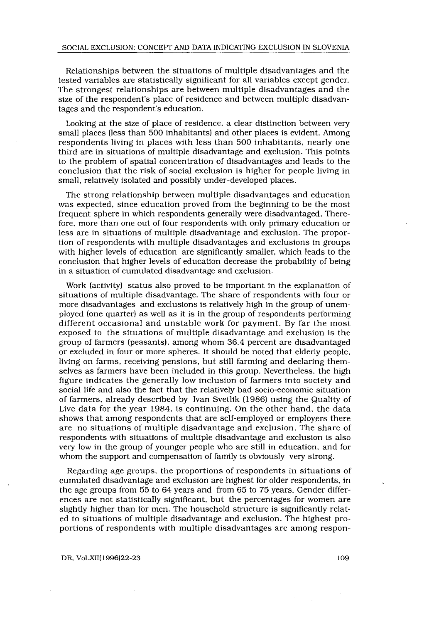Relationships between the situations of multiple disadvantages and the tested variables are statistically significant for all variables except gender. The strongest relationships are between multiple disadvantages and the size of the respondent's place of residence and between multiple disadvantages and the respondent's education.

Looking at the size of place of residence, a clear distinction between very small places (less than 500 inhabitants) and other places is evident. Among respondents living in places with less than 500 inhabitants, nearly one third are in situations of multiple disadvantage and exclusion . This points to the problem of spatial concentration of disadvantages and leads to the conclusion that the risk of social exclusion is higher for people living in small, relatively isolated and possibly under-developed places .

The strong relationship between multiple disadvantages and education was expected, since education proved from the beginning to be the most frequent sphere in which respondents generally were disadvantaged. Therefore, more than one out of four respondents with only primary education or less are in situations of multiple disadvantage and exclusion . The proportion of respondents with multiple disadvantages and exclusions in groups with higher levels of education are significantly smaller, which leads to the conclusion that higher levels of education decrease the probability of being in a situation of cumulated disadvantage and exclusion .

Work (activity) status also proved to be important in the explanation of situations of multiple disadvantage . The share of respondents with four or more disadvantages and exclusions is relatively high in the group of unemployed (one quarter) as well as it is in the group of respondents performing different occasional and unstable work for payment. By far the most exposed to the situations of multiple disadvantage and exclusion is the group of farmers (peasants), among whom 36 .4 percent are disadvantaged or excluded in four or more spheres . It should be noted that elderly people, living on farms, receiving pensions, but still farming and declaring themselves as farmers have been included in this group. Nevertheless, the high figure indicates the generally low inclusion of farmers into society and social life and also the fact that the relatively bad socio-economic situation of farmers, already described by Ivan Svetlik (1986) using the Quality of Live data for the year 1984, is continuing. On the other hand, the data shows that among respondents that are self-employed or employers there are no situations of multiple disadvantage and exclusion . The share of respondents with situations of multiple disadvantage and exclusion is also very low in the group of younger people who are still in education, and for whom the support and compensation of family is obviously very strong.

Regarding age groups, the proportions of respondents in situations of cumulated disadvantage and exclusion are highest for older respondents, in the age groups from 55 to 64 years and from 65 to 75 years . Gender differences are not statistically significant, but the percentages for women are slightly higher than for men. The household structure is significantly related to situations of multiple disadvantage and exclusion . The highest proportions of respondents with multiple disadvantages are among respon-

#### DR, Vol .XII(I996)22-23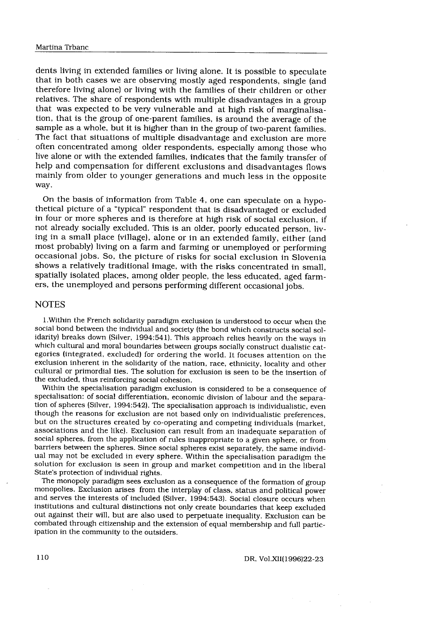dents living in extended families or living alone. It is possible to speculate that in both cases we are observing mostly aged respondents, single (and therefore living alone) or living with the families of their children or other relatives. The share of respondents with multiple disadvantages in a group that was expected to be very vulnerable and at high risk of marginalisation, that is the group of one-parent families, is around the average of the sample as a whole, but it is higher than in the group of two-parent families . The fact that situations of multiple disadvantage and exclusion are more often concentrated among older respondents, especially among those who live alone or with the extended families, indicates that the family transfer of help and compensation for different exclusions and disadvantages flows mainly from older to younger generations and much less in the opposite way.

On the basis of information from Table 4, one can speculate on a hypothetical picture of a "typical" respondent that is disadvantaged or excluded in four or more spheres and is therefore at high risk of social exclusion, if not already socially excluded. This is an older, poorly educated person, living in a small place (village), alone or in an extended family, either (and most probably) living on a farm and farming or unemployed or performing occasional jobs. So, the picture of risks for social exclusion in Slovenia shows a relatively traditional image, with the risks concentrated in small, spatially isolated places, among older people, the less educated, aged farmers, the unemployed and persons performing different occasional jobs .

## **NOTES**

<sup>1</sup> . Within the French solidarity paradigm exclusion is understood to occur when the social bond between the individual and society (the bond which constructs social solidarity) breaks down (Silver, 1994 :541) . This approach relies heavily on the ways in which cultural and moral boundaries between groups socially construct dualistic categories (integrated, excluded) for ordering the world. It focuses attention on the exclusion inherent in the solidarity of the nation, race, ethnicity, locality and other cultural or primordial ties. The solution for exclusion is seen to be the insertion of the excluded, thus reinforcing social cohesion.

Within the specialisation paradigm exclusion is considered to be a consequence of specialisation: of social differentiation, economic division of labour and the separation of spheres (Silver, 1994 :542) . The specialisation approach is individualistic, even though the reasons for exclusion are not based only on individualistic preferences, but on the structures created by co-operating and competing individuals (market, associations and the like). Exclusion can result from an inadequate separation of social spheres, from the application of rules inappropriate to a given sphere, or from barriers between the spheres . Since social spheres exist separately, the same individual may not be excluded in every sphere . Within the specialisation paradigm the solution for exclusion is seen in group and market competition and in the liberal State's protection of individual rights .

The monopoly paradigm sees exclusion as a consequence of the formation of group monopolies. Exclusion arises from the interplay of class, status and political power and serves the interests of included (Silver, 1994 :543) . Social closure occurs when institutions and cultural distinctions not only create boundaries that keep excluded out against their will, but are also used to perpetuate inequality. Exclusion can be combated through citizenship and the extension of equal membership and full participation in the community to the outsiders.

DR, Vol .XII(1996)22-23

I10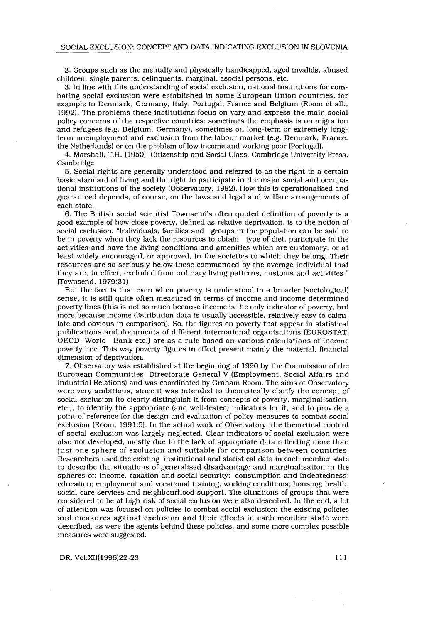2 . Groups such as the mentally and physically handicapped, aged invalids, abused children, single parents, delinquents, marginal, asocial persons, etc .

3 . In line with this understanding of social exclusion, national institutions for combating social exclusion were established in some European Union countries, for example in Denmark, Germany, Italy, Portugal, France and Belgium (Room et all., 1992) . The problems these institutions focus on vary and express the main social policy concerns of the respective countries : sometimes the emphasis is on migration and refugees (e.g. Belgium, Germany), sometimes on long-term or extremely longterm unemployment and exclusion from the labour market (e .g . Denmark, France, the Netherlands) or on the problem of low income and working poor (Portugal) .

4. Marshall, T .H . (1950), Citizenship and Social Class, Cambridge University Press, Cambridge

5. Social rights are generally understood and referred to as the right to a certain basic standard of living and the right to participate in the major social and occupational institutions of the society (Observatory, 1992) . How this is operationalised and guaranteed depends, of course, on the laws and legal and welfare arrangements of each state.

6. The British social scientist Townsend's often quoted definition of poverty is a good example of how close poverty, defined as relative deprivation, is to the notion of social exclusion . "Individuals, families and groups in the population can be said to be in poverty when they lack the resources to obtain type of diet, participate in the activities and have the living conditions and amenities which are customary, or at least widely encouraged, or approved, in the societies to which they belong. Their resources are so seriously below those commanded by the average individual that they are, in effect, excluded from ordinary living patterns, customs and activities ." (Townsend, 1979 :31)

But the fact is that even when poverty is understood in a broader (sociological) sense, it is still quite often measured in terms of income and income determined poverty lines (this is not so much because income is the only indicator of poverty, but more because income distribution data is usually accessible, relatively easy to calculate and obvious in comparison) . So, the figures on poverty that appear in statistical publications and documents of different international organisations (EUROSTAT, OECD, World Bank etc .) are as a rule based on various calculations of income poverty line . This way poverty figures in effect present mainly the material, financial dimension of deprivation.

7 . Observatory was established at the beginning of I990 by the Commission of the European Communities, Directorate General V (Employment, Social Affairs and Industrial Relations) and was coordinated by Graham Room . The aims of Observatory were very ambitious, since it was intended to theoretically clarify the concept of social exclusion (to clearly distinguish it from concepts of poverty, marginalisation, etc .), to identify the appropriate (and well-tested) indicators for it, and to provide a point of reference for the design and evaluation of policy measures to combat social exclusion (Room, 1991:5). In the actual work of Observatory, the theoretical content of social exclusion was largely neglected . Clear indicators of social exclusion were also not developed, mostly due to the lack of appropriate data reflecting more than just one sphere of exclusion and suitable for comparison between countries . Researchers used the existing institutional and statistical data in each member state to describe the situations of generalised disadvantage and marginalisation in the spheres of: income, taxation and social security; consumption and indebtedness; education; employment and vocational training; working conditions; housing; health; social care services and neighbourhood support. The situations of groups that were considered to be at high risk of social exclusion were also described . In the end, a lot of attention was focused on policies to combat social exclusion : the existing policies and measures against exclusion and their effects in each member state were described, as were the agents behind these policies, and some more complex possible measures were suggested .

DR, Vol.XII(1996)22-23

I1I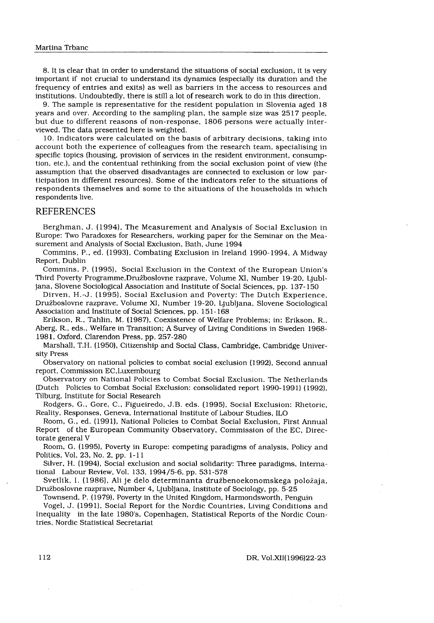8. It is clear that in order to understand the situations of social exclusion, it is very important if not crucial to understand its dynamics (especially its duration and the frequency of entries and exits) as well as barriers in the access to resources and institutions . Undoubtedly, there is still a lot of research work to do in this direction .

9. The sample is representative for the resident population in Slovenia aged 18 years and over. According to the sampling plan, the sample size was 2517 people, but due to different reasons of non-response, 1806 persons were actually interviewed. The data presented here is weighted.

10. Indicators were calculated on the basis of arbitrary decisions, taking into account both the experience of colleagues from the research team, specialising in specific topics (housing, provision of services in the resident environment, consumption, etc .), and the contentual rethinking from the social exclusion point of view (the assumption that the observed disadvantages are connected to exclusion or low participation in different resources) . Some of the indicators refer to the situations of respondents themselves and some to the situations of the households in which respondents live.

#### REFERENCES

Berghman, J. (1994), The Measurement and Analysis of Social Exclusion in Europe: Two Paradoxes for Researchers, working paper for the Seminar on the Measurement and Analysis of Social Exclusion, Bath, June 1994

Commins, P., ed. (1993), Combating Exclusion in Ireland 1990-1994, A Midway Report, Dublin

Commins, P. (1995), Social Exclusion in the Context of the European Union's Third Poverty Programme, Družboslovne razprave, Volume XI, Number 19-20, Ljubljana, Slovene Sociological Association and Institute of Social Sciences, pp . 137-150

Dirven, H.-J. (1995), Social Exclusion and Poverty: The Dutch Experience, Družboslovne razprave, Volume XI, Number 19-20, Ljubljana, Slovene Sociological Association and Institute of Social Sciences, pp. 151-168

Erikson, R., Tahlin, M. (1987), Coexistence of Welfare Problems; in: Erikson, R., Aberg, R., eds., Welfare in Transition; A Survey of Living Conditions in Sweden 1968-1981, Oxford, Clarendon Press, pp. 257-280

Marshall, T.H . (1950), Citizenship and Social Class, Cambridge, Cambridge University Press

Observatory on national policies to combat social exclusion (1992), Second annual report, Commission EC,Luxembourg

Observatory on National Policies to Combat Social Exclusion . The Netherlands (Dutch Policies to Combat Social Exclusion: consolidated report 1990-1991) (1992), Tilburg, Institute for Social Research

Rodgers, G., Gore, C., Figueiredo, J.B. eds. (1995), Social Exclusion: Rhetoric, Reality, Responses, Geneva, International Institute of Labour Studies, ILO

Room, G., ed. (1991), National Policies to Combat Social Exclusion, First Annual Report of the European Community Observatory, Commission of the EC, Directorate general V

Room, G. (1995), Poverty in Europe: competing paradigms of analysis, Policy and Politics, Vol. 23, No. 2, pp. 1-11

Silver, H. (1994), Social exclusion and social solidarity: Three paradigms, International Labour Review, Vol. 133, 1994/5-6, pp. 531-578

Svetlik, I. (1986), Ali je delo determinanta družbenoekonomskega položaja, Družboslovne razprave, Number 4, Ljubljana, Institute of Sociology, pp. 5-25

Townsend, P. (1979), Poverty in the United Kingdom, Harmondsworth, Penguin

Vogel, J. (1991), Social Report for the Nordic Countries, Living Conditions and Inequality in the late 1980's, Copenhagen, Statistical Reports of the Nordic Countries, Nordic Statistical Secretariat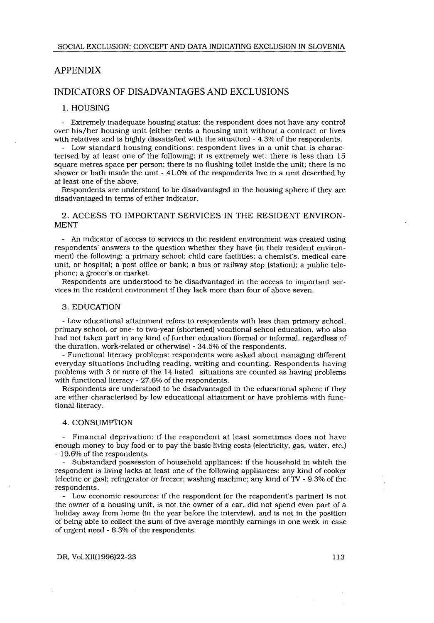### APPENDIX

## INDICATORS OF DISADVANTAGES AND EXCLUSIONS

#### 1. HOUSING

- Extremely inadequate housing status: the respondent does not have any control over his/her housing unit (either rents a housing unit without a contract or lives with relatives and is highly dissatisfied with the situation) - 4.3% of the respondents.

- Low-standard housing conditions: respondent lives in a unit that is characterised by at least one of the following: it is extremely wet; there is less than 15 square metres space per person; there is no flushing toilet inside the unit; there is no shower or bath inside the unit - 4I .0% of the respondents live in a unit described by at least one of the above.

Respondents are understood to be disadvantaged in the housing sphere if they are disadvantaged in terms of either indicator.

#### 2. ACCESS TO IMPORTANT SERVICES IN THE RESIDENT ENVIRON-MENT

- An indicator of access to services in the resident environment was created using respondents' answers to the question whether they have (in their resident environment) the following: a primary school; child care facilities; a chemist's, medical care unit, or hospital; a post office or bank; a bus or railway stop (station); a public telephone; a grocer's or market.

Respondents are understood to be disadvantaged in the access to important services in the resident environment if they lack more than four of above seven .

#### 3. EDUCATION

- Low educational attainment refers to respondents with less than primary school, primary school, or one- to two-year (shortened) vocational school education, who also had not taken part in any kind of further education (formal or informal, regardless of the duration, work-related or otherwise) - 34.5% of the respondents .

- Functional literacy problems: respondents were asked about managing different everyday situations including reading, writing and counting . Respondents having problems with 3 or more of the 14 listed situations are counted as having problems with functional literacy - 27.6% of the respondents.

Respondents are understood to be disadvantaged in the educational sphere if they are either characterised by low educational attainment or have problems with functional literacy .

#### 4 . CONSUMPTION

- Financial deprivation: if the respondent at least sometimes does not have enough money to buy food or to pay the basic living costs (electricity, gas, water, etc.) - 19.6% of the respondents.

Substandard possession of household appliances: if the household in which the respondent is living lacks at least one of the following appliances : any kind of cooker (electric or gas) ; refrigerator or freezer ; washing machine ; any kind of TV - 9.3% of the respondents .

- Low economic resources : if the respondent (or the respondent's partner) is not the owner of a housing unit, is not the owner of a car, did not spend even part of a holiday away from home (in the year before the interview), and is not in the position of being able to collect the sum of five average monthly earnings in one week in case of urgent need - 6.3% of the respondents.

DR, Vol.XII(I996)22-23 I13